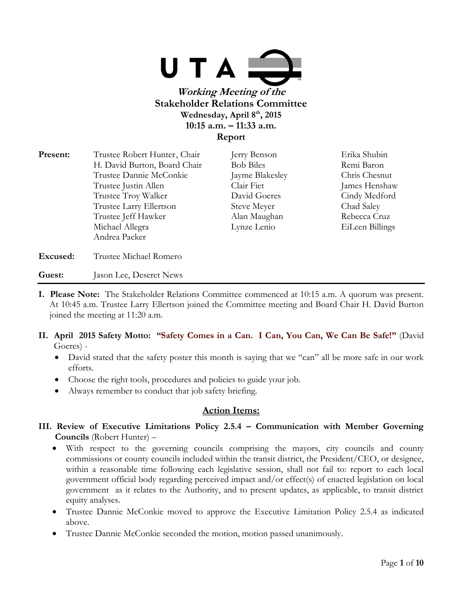

| Present: | Trustee Robert Hunter, Chair | Jerry Benson     | Erika Shubin    |
|----------|------------------------------|------------------|-----------------|
|          | H. David Burton, Board Chair | <b>Bob Biles</b> | Remi Baron      |
|          | Trustee Dannie McConkie      | Jayme Blakesley  | Chris Chesnut   |
|          | Trustee Justin Allen         | Clair Fiet       | James Henshaw   |
|          | Trustee Troy Walker          | David Goeres     | Cindy Medford   |
|          | Trustee Larry Ellertson      | Steve Meyer      | Chad Saley      |
|          | Trustee Jeff Hawker          | Alan Maughan     | Rebecca Cruz    |
|          | Michael Allegra              | Lynze Lenio      | EiLeen Billings |
|          | Andrea Packer                |                  |                 |
| Excused: | Trustee Michael Romero       |                  |                 |

#### Guest: **Jason Lee, Deseret News**

- **I. Please Note:** The Stakeholder Relations Committee commenced at 10:15 a.m. A quorum was present. At 10:45 a.m. Trustee Larry Ellertson joined the Committee meeting and Board Chair H. David Burton joined the meeting at 11:20 a.m.
- **II. April 2015 Safety Motto: "Safety Comes in a Can. I Can, You Can, We Can Be Safe!"** (David Goeres) -
	- David stated that the safety poster this month is saying that we "can" all be more safe in our work efforts.
	- Choose the right tools, procedures and policies to guide your job.
	- Always remember to conduct that job safety briefing.

# **Action Items:**

- **III. Review of Executive Limitations Policy 2.5.4 – Communication with Member Governing Councils** (Robert Hunter) –
	- With respect to the governing councils comprising the mayors, city councils and county commissions or county councils included within the transit district, the President/CEO, or designee, within a reasonable time following each legislative session, shall not fail to: report to each local government official body regarding perceived impact and/or effect(s) of enacted legislation on local government as it relates to the Authority, and to present updates, as applicable, to transit district equity analyses.
	- Trustee Dannie McConkie moved to approve the Executive Limitation Policy 2.5.4 as indicated above.
	- Trustee Dannie McConkie seconded the motion, motion passed unanimously.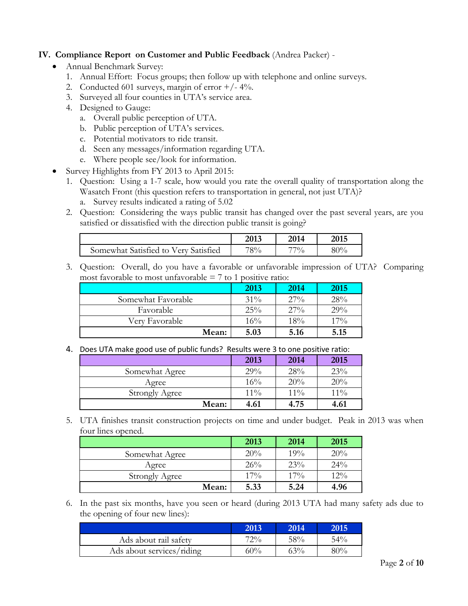## **IV. Compliance Report on Customer and Public Feedback** (Andrea Packer) -

- Annual Benchmark Survey:
	- 1. Annual Effort: Focus groups; then follow up with telephone and online surveys.
	- 2. Conducted 601 surveys, margin of error  $+/- 4\%$ .
	- 3. Surveyed all four counties in UTA's service area.
	- 4. Designed to Gauge:
		- a. Overall public perception of UTA.
		- b. Public perception of UTA's services.
		- c. Potential motivators to ride transit.
		- d. Seen any messages/information regarding UTA.
		- e. Where people see/look for information.
	- Survey Highlights from FY 2013 to April 2015:
		- 1. Question: Using a 1-7 scale, how would you rate the overall quality of transportation along the Wasatch Front (this question refers to transportation in general, not just UTA)?
			- a. Survey results indicated a rating of 5.02
		- 2. Question: Considering the ways public transit has changed over the past several years, are you satisfied or dissatisfied with the direction public transit is going?

|                                      | 2013 | 2014   | 2015 |
|--------------------------------------|------|--------|------|
| Somewhat Satisfied to Very Satisfied | 78%  | $77\%$ | 80%  |

3. Question: Overall, do you have a favorable or unfavorable impression of UTA? Comparing most favorable to most unfavorable  $= 7$  to 1 positive ratio:

|                    | 2013   | 2014   | 2015 |
|--------------------|--------|--------|------|
| Somewhat Favorable | $31\%$ | $27\%$ | 28%  |
| Favorable          | 25%    | $27\%$ | 29%  |
| Very Favorable     | 16%    | 18%    | 17%  |
| Mean:              | 5.03   | 5.16   | 5.15 |

4. Does UTA make good use of public funds? Results were 3 to one positive ratio:

|                       | 2013   | 2014   | 2015   |
|-----------------------|--------|--------|--------|
| Somewhat Agree        | 29%    | 28%    | 23%    |
| Agree                 | 16%    | 20%    | 20%    |
| <b>Strongly Agree</b> | $11\%$ | $11\%$ | $11\%$ |
| Mean:                 | 4.61   | 4.75   | 4.61   |

5. UTA finishes transit construction projects on time and under budget. Peak in 2013 was when four lines opened.

|                       | 2013 | 2014   | 2015 |
|-----------------------|------|--------|------|
| Somewhat Agree        | 20%  | 19%    | 20%  |
| Agree                 | 26%  | 23%    | 24%  |
| <b>Strongly Agree</b> | 17%  | $17\%$ | 12%  |
| Mean:                 | 5.33 | 5.24   | 4.96 |

6. In the past six months, have you seen or heard (during 2013 UTA had many safety ads due to the opening of four new lines):

|                           | 2013   | 2014   | 2015   |
|---------------------------|--------|--------|--------|
| Ads about rail safety     | 72%    | 58%    | $54\%$ |
| Ads about services/riding | $50\%$ | $53\%$ | 80%    |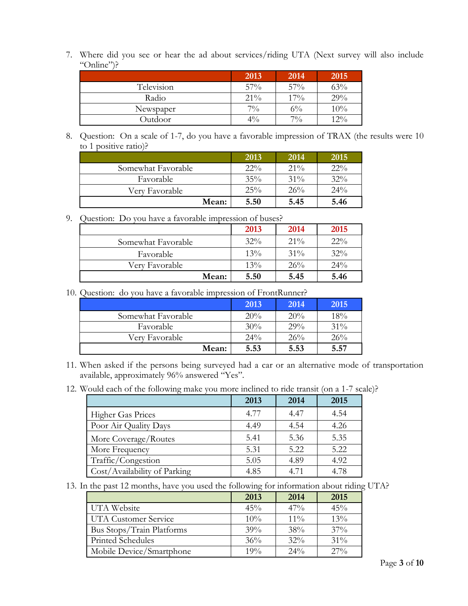7. Where did you see or hear the ad about services/riding UTA (Next survey will also include "Online")?

|            | 2013  | 2014  | 2015 |
|------------|-------|-------|------|
| Television | 57%   | 57%   | 63%  |
| Radio      | 21%   | 17%   | 29%  |
| Newspaper  | $7\%$ | $6\%$ | 10%  |
| Outdoor    | $4\%$ | $7\%$ | 12%  |

8. Question: On a scale of 1-7, do you have a favorable impression of TRAX (the results were 10 to 1 positive ratio)?

|                    | 2013   | 2014   | 2015   |
|--------------------|--------|--------|--------|
| Somewhat Favorable | $22\%$ | $21\%$ | $22\%$ |
| Favorable          | 35%    | $31\%$ | 32%    |
| Very Favorable     | 25%    | 26%    | 24%    |
| Mean:              | 5.50   | 5.45   | 5.46   |

9. Question: Do you have a favorable impression of buses?

|                    | 2013   | 2014   | 2015   |
|--------------------|--------|--------|--------|
| Somewhat Favorable | $32\%$ | $21\%$ | $22\%$ |
| Favorable          | $13\%$ | $31\%$ | 32%    |
| Very Favorable     | 13%    | 26%    | 24%    |
| Mean:              | 5.50   | 5.45   | 5.46   |

10. Question: do you have a favorable impression of FrontRunner?

|                    | 2013   | 2014 | 2015 |
|--------------------|--------|------|------|
| Somewhat Favorable | 20%    | 20%  | 18%  |
| Favorable          | 30%    | 29%  | 31%  |
| Very Favorable     | $24\%$ | 26%  | 26%  |
| Mean:              | 5.53   | 5.53 | 5.57 |

<sup>11.</sup> When asked if the persons being surveyed had a car or an alternative mode of transportation available, approximately 96% answered "Yes".

<sup>12.</sup> Would each of the following make you more inclined to ride transit (on a 1-7 scale)?

|                              | 2013 | 2014 | 2015 |
|------------------------------|------|------|------|
| <b>Higher Gas Prices</b>     | 4.77 | 4.47 | 4.54 |
| Poor Air Quality Days        | 4.49 | 4.54 | 4.26 |
| More Coverage/Routes         | 5.41 | 5.36 | 5.35 |
| More Frequency               | 5.31 | 5.22 | 5.22 |
| Traffic/Congestion           | 5.05 | 4.89 | 4.92 |
| Cost/Availability of Parking | 4.85 | 4.71 | 4.78 |

13. In the past 12 months, have you used the following for information about riding UTA?

|                           | 2013 | 2014   | 2015   |
|---------------------------|------|--------|--------|
| UTA Website               | 45%  | 47%    | 45%    |
| UTA Customer Service      | 10%  | $11\%$ | 13%    |
| Bus Stops/Train Platforms | 39%  | 38%    | $37\%$ |
| Printed Schedules         | 36%  | $32\%$ | 31%    |
| Mobile Device/Smartphone  | 19%  | 24%    | $27\%$ |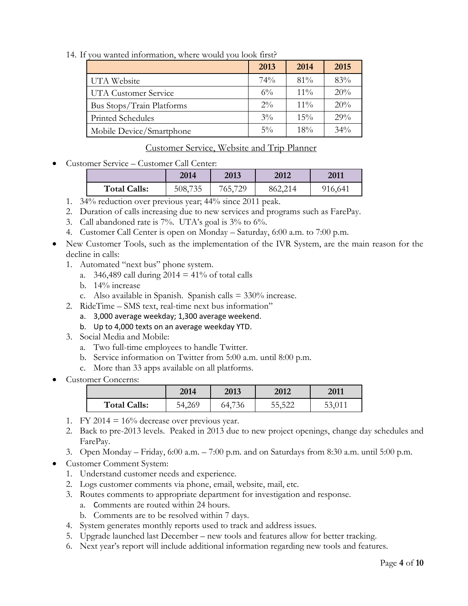14. If you wanted information, where would you look first?

|                           | 2013  | 2014   | 2015 |
|---------------------------|-------|--------|------|
| UTA Website               | 74%   | $81\%$ | 83%  |
| UTA Customer Service      | $6\%$ | $11\%$ | 20%  |
| Bus Stops/Train Platforms | $2\%$ | $11\%$ | 20%  |
| Printed Schedules         | $3\%$ | $15\%$ | 29%  |
| Mobile Device/Smartphone  | $5\%$ | 18%    | 34%  |

# Customer Service, Website and Trip Planner

Customer Service – Customer Call Center:

| 2014                           | 2013    | 2012    | 2011    |
|--------------------------------|---------|---------|---------|
| <b>Total Calls:</b><br>508,735 | 765,729 | 862,214 | 916,641 |

- 1. 34% reduction over previous year; 44% since 2011 peak.
- 2. Duration of calls increasing due to new services and programs such as FarePay.
- 3. Call abandoned rate is 7%. UTA's goal is 3% to 6%.
- 4. Customer Call Center is open on Monday Saturday, 6:00 a.m. to 7:00 p.m.
- New Customer Tools, such as the implementation of the IVR System, are the main reason for the decline in calls:
	- 1. Automated "next bus" phone system.
		- a. 346,489 call during  $2014 = 41\%$  of total calls
		- b. 14% increase
		- c. Also available in Spanish. Spanish calls = 330% increase.
	- 2. RideTime SMS text, real-time next bus information"
		- a. 3,000 average weekday; 1,300 average weekend.
		- b. Up to 4,000 texts on an average weekday YTD.
	- 3. Social Media and Mobile:
		- a. Two full-time employees to handle Twitter.
		- b. Service information on Twitter from 5:00 a.m. until 8:00 p.m.
		- c. More than 33 apps available on all platforms.
- Customer Concerns:

|                     | 2014   | 2013   | 2012   | 2011   |
|---------------------|--------|--------|--------|--------|
| <b>Total Calls:</b> | 54,269 | 64,736 | 55,522 | 53,011 |

- 1. FY 2014 =  $16\%$  decrease over previous year.
- 2. Back to pre-2013 levels. Peaked in 2013 due to new project openings, change day schedules and FarePay.
- 3. Open Monday Friday, 6:00 a.m. 7:00 p.m. and on Saturdays from 8:30 a.m. until 5:00 p.m.
- Customer Comment System:
	- 1. Understand customer needs and experience.
	- 2. Logs customer comments via phone, email, website, mail, etc.
	- 3. Routes comments to appropriate department for investigation and response.
		- a. Comments are routed within 24 hours.
		- b. Comments are to be resolved within 7 days.
	- 4. System generates monthly reports used to track and address issues.
	- 5. Upgrade launched last December new tools and features allow for better tracking.
	- 6. Next year's report will include additional information regarding new tools and features.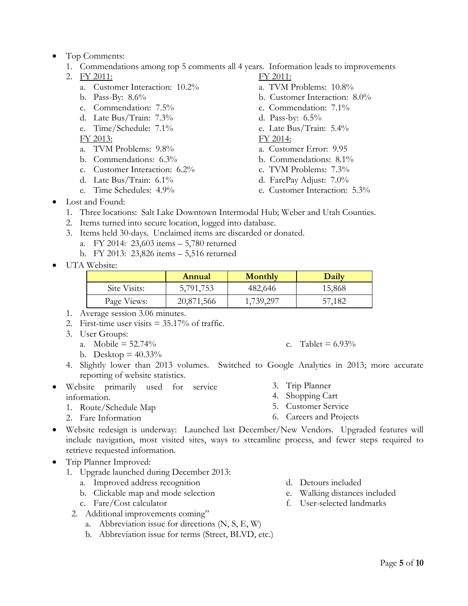- Top Comments:
	- 1. Commendations among top 5 comments all 4 years. Information leads to improvements
	- 2. FY 2011: FY 2011:
		- a. Customer Interaction: 10.2% a. TVM Problems: 10.8%
		-
		- c. Commendation: 7.5% c. Commendation: 7.1%
		- d. Late Bus/Train:  $7.3\%$  d. Pass-by:  $6.5\%$
		- e. Time/Schedule: 7.1% e. Late Bus/Train: 5.4%

FY 2013: FY 2014:

- a. TVM Problems: 9.8% a. Customer Error: 9.95
- b. Commendations:  $6.3\%$  b. Commendations:  $8.1\%$
- c. Customer Interaction:  $6.2\%$  c. TVM Problems:  $7.3\%$
- d. Late Bus/Train: 6.1% d. FarePay Adjust: 7.0%
- 
- 
- b. Pass-By: 8.6% b. Customer Interaction: 8.0%
	-
	-

- 
- 
- 
- 
- 
- e. Time Schedules: 4.9% e. Customer Interaction: 5.3%
- Lost and Found:
	- 1. Three locations: Salt Lake Downtown Intermodal Hub; Weber and Utah Counties.
	- 2. Items turned into secure location, logged into database.
	- 3. Items held 30-days. Unclaimed items are discarded or donated.
		- a. FY 2014: 23,603 items 5,780 returned
		- b. FY 2013: 23,826 items 5,516 returned
- UTA Website:

|              | Annual     | Monthly   | Daily  |
|--------------|------------|-----------|--------|
| Site Visits: | 5,791,753  | 482,646   | 15,868 |
| Page Views:  | 20,871,566 | 1,739,297 | 57,182 |

- 1. Average session 3.06 minutes.
- 2. First-time user visits  $= 35.17\%$  of traffic.
- 3. User Groups:
	- a. Mobile =  $52.74\%$
	- b. Desktop =  $40.33\%$
- 4. Slightly lower than 2013 volumes. Switched to Google Analytics in 2013; more accurate reporting of website statistics.
- Website primarily used for service information.
	- 1. Route/Schedule Map
	- 2. Fare Information
- 
- 3. Trip Planner
- 4. Shopping Cart
- 5. Customer Service
- 6. Careers and Projects
- Website redesign is underway: Launched last December/New Vendors. Upgraded features will include navigation, most visited sites, ways to streamline process, and fewer steps required to retrieve requested information.
- Trip Planner Improved:
	- 1. Upgrade launched during December 2013:
		- a. Improved address recognition
		- b. Clickable map and mode selection
		- c. Fare/Cost calculator
		- 2. Additional improvements coming"
			- a. Abbreviation issue for directions (N, S, E, W)
			- b. Abbreviation issue for terms (Street, BLVD, etc.)
- d. Detours included
- e. Walking distances included
- f. User-selected landmarks

c. Tablet =  $6.93\%$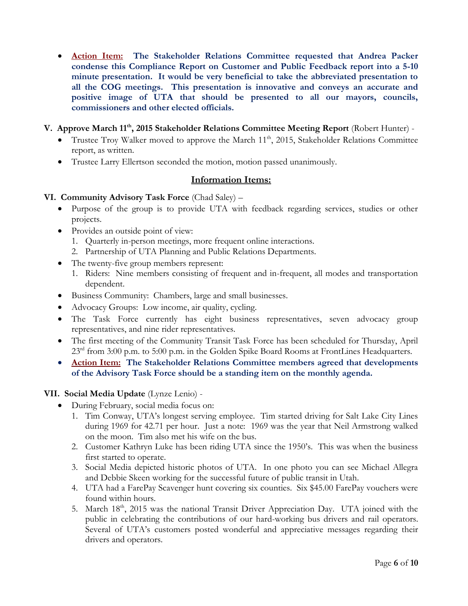- **Action Item: The Stakeholder Relations Committee requested that Andrea Packer condense this Compliance Report on Customer and Public Feedback report into a 5-10 minute presentation. It would be very beneficial to take the abbreviated presentation to all the COG meetings. This presentation is innovative and conveys an accurate and positive image of UTA that should be presented to all our mayors, councils, commissioners and other elected officials.**
- **V. Approve March 11th, 2015 Stakeholder Relations Committee Meeting Report** (Robert Hunter)
	- Trustee Troy Walker moved to approve the March  $11<sup>th</sup>$ , 2015, Stakeholder Relations Committee report, as written.
	- Trustee Larry Ellertson seconded the motion, motion passed unanimously.

### **Information Items:**

### **VI. Community Advisory Task Force** (Chad Saley) –

- Purpose of the group is to provide UTA with feedback regarding services, studies or other projects.
- Provides an outside point of view:
	- 1. Quarterly in-person meetings, more frequent online interactions.
	- 2. Partnership of UTA Planning and Public Relations Departments.
- The twenty-five group members represent:
	- 1. Riders: Nine members consisting of frequent and in-frequent, all modes and transportation dependent.
- Business Community: Chambers, large and small businesses.
- Advocacy Groups: Low income, air quality, cycling.
- The Task Force currently has eight business representatives, seven advocacy group representatives, and nine rider representatives.
- The first meeting of the Community Transit Task Force has been scheduled for Thursday, April 23<sup>rd</sup> from 3:00 p.m. to 5:00 p.m. in the Golden Spike Board Rooms at FrontLines Headquarters.
- **Action Item: The Stakeholder Relations Committee members agreed that developments of the Advisory Task Force should be a standing item on the monthly agenda.**

### **VII. Social Media Update** (Lynze Lenio) -

- During February, social media focus on:
	- 1. Tim Conway, UTA's longest serving employee. Tim started driving for Salt Lake City Lines during 1969 for 42.71 per hour. Just a note: 1969 was the year that Neil Armstrong walked on the moon. Tim also met his wife on the bus.
	- 2. Customer Kathryn Luke has been riding UTA since the 1950's. This was when the business first started to operate.
	- 3. Social Media depicted historic photos of UTA. In one photo you can see Michael Allegra and Debbie Skeen working for the successful future of public transit in Utah.
	- 4. UTA had a FarePay Scavenger hunt covering six counties. Six \$45.00 FarePay vouchers were found within hours.
	- 5. March 18<sup>th</sup>, 2015 was the national Transit Driver Appreciation Day. UTA joined with the public in celebrating the contributions of our hard-working bus drivers and rail operators. Several of UTA's customers posted wonderful and appreciative messages regarding their drivers and operators.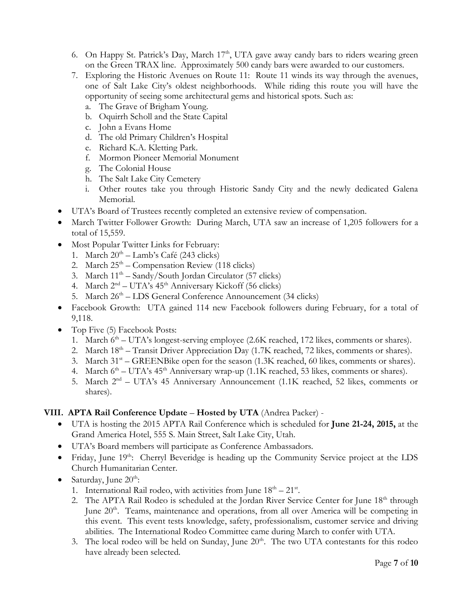- 6. On Happy St. Patrick's Day, March  $17<sup>th</sup>$ , UTA gave away candy bars to riders wearing green on the Green TRAX line. Approximately 500 candy bars were awarded to our customers.
- 7. Exploring the Historic Avenues on Route 11: Route 11 winds its way through the avenues, one of Salt Lake City's oldest neighborhoods. While riding this route you will have the opportunity of seeing some architectural gems and historical spots. Such as:
	- a. The Grave of Brigham Young.
	- b. Oquirrh Scholl and the State Capital
	- c. John a Evans Home
	- d. The old Primary Children's Hospital
	- e. Richard K.A. Kletting Park.
	- f. Mormon Pioneer Memorial Monument
	- g. The Colonial House
	- h. The Salt Lake City Cemetery
	- i. Other routes take you through Historic Sandy City and the newly dedicated Galena Memorial.
- UTA's Board of Trustees recently completed an extensive review of compensation.
- March Twitter Follower Growth: During March, UTA saw an increase of 1,205 followers for a total of 15,559.
- Most Popular Twitter Links for February:
	- 1. March  $20<sup>th</sup> Lamb's Café (243 clicks)$
	- 2. March  $25<sup>th</sup>$  Compensation Review (118 clicks)
	- 3. March 11<sup>th</sup> Sandy/South Jordan Circulator (57 clicks)
	- 4. March 2<sup>nd</sup> UTA's 45<sup>th</sup> Anniversary Kickoff (56 clicks)
	- 5. March 26<sup>th</sup> LDS General Conference Announcement (34 clicks)
- Facebook Growth: UTA gained 114 new Facebook followers during February, for a total of 9,118.
- Top Five (5) Facebook Posts:
	- 1. March 6<sup>th</sup> UTA's longest-serving employee (2.6K reached, 172 likes, comments or shares).
	- 2. March 18<sup>th</sup> Transit Driver Appreciation Day (1.7K reached, 72 likes, comments or shares).
	- 3. March 31<sup>st</sup> GREENBike open for the season (1.3K reached, 60 likes, comments or shares).
	- 4. March  $6<sup>th</sup> UTA's 45<sup>th</sup>$  Anniversary wrap-up (1.1K reached, 53 likes, comments or shares).
	- 5. March 2<sup>nd</sup> UTA's 45 Anniversary Announcement (1.1K reached, 52 likes, comments or shares).

### **VIII. APTA Rail Conference Update** – **Hosted by UTA** (Andrea Packer) -

- UTA is hosting the 2015 APTA Rail Conference which is scheduled for **June 21-24, 2015,** at the Grand America Hotel, 555 S. Main Street, Salt Lake City, Utah.
- UTA's Board members will participate as Conference Ambassadors.
- Friday, June 19<sup>th</sup>: Cherryl Beveridge is heading up the Community Service project at the LDS Church Humanitarian Center.
- Saturday, June  $20^{\text{th}}$ :
	- 1. International Rail rodeo, with activities from June  $18<sup>th</sup> 21<sup>st</sup>$ .
	- 2. The APTA Rail Rodeo is scheduled at the Jordan River Service Center for June 18<sup>th</sup> through June 20<sup>th</sup>. Teams, maintenance and operations, from all over America will be competing in this event. This event tests knowledge, safety, professionalism, customer service and driving abilities. The International Rodeo Committee came during March to confer with UTA.
	- 3. The local rodeo will be held on Sunday, June  $20<sup>th</sup>$ . The two UTA contestants for this rodeo have already been selected.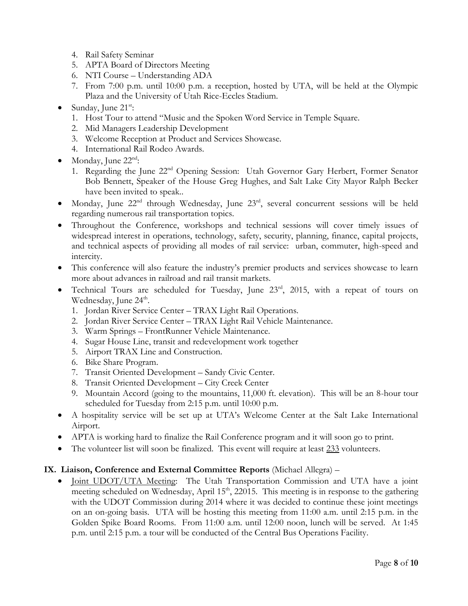- 4. Rail Safety Seminar
- 5. APTA Board of Directors Meeting
- 6. NTI Course Understanding ADA
- 7. From 7:00 p.m. until 10:00 p.m. a reception, hosted by UTA, will be held at the Olympic Plaza and the University of Utah Rice-Eccles Stadium.
- Sunday, June  $21^{st}$ :
	- 1. Host Tour to attend "Music and the Spoken Word Service in Temple Square.
	- 2. Mid Managers Leadership Development
	- 3. Welcome Reception at Product and Services Showcase.
	- 4. International Rail Rodeo Awards.
- $\bullet$  Monday, June 22<sup>nd</sup>:
	- 1. Regarding the June 22<sup>nd</sup> Opening Session: Utah Governor Gary Herbert, Former Senator Bob Bennett, Speaker of the House Greg Hughes, and Salt Lake City Mayor Ralph Becker have been invited to speak..
- $\bullet$  Monday, June 22<sup>nd</sup> through Wednesday, June 23<sup>rd</sup>, several concurrent sessions will be held regarding numerous rail transportation topics.
- Throughout the Conference, workshops and technical sessions will cover timely issues of widespread interest in operations, technology, safety, security, planning, finance, capital projects, and technical aspects of providing all modes of rail service: urban, commuter, high-speed and intercity.
- This conference will also feature the industry's premier products and services showcase to learn more about advances in railroad and rail transit markets.
- Technical Tours are scheduled for Tuesday, June 23<sup>rd</sup>, 2015, with a repeat of tours on Wednesday, June 24<sup>th</sup>.
	- 1. Jordan River Service Center TRAX Light Rail Operations.
	- 2. Jordan River Service Center TRAX Light Rail Vehicle Maintenance.
	- 3. Warm Springs FrontRunner Vehicle Maintenance.
	- 4. Sugar House Line, transit and redevelopment work together
	- 5. Airport TRAX Line and Construction.
	- 6. Bike Share Program.
	- 7. Transit Oriented Development Sandy Civic Center.
	- 8. Transit Oriented Development City Creek Center
	- 9. Mountain Accord (going to the mountains, 11,000 ft. elevation). This will be an 8-hour tour scheduled for Tuesday from 2:15 p.m. until 10:00 p.m.
- A hospitality service will be set up at UTA's Welcome Center at the Salt Lake International Airport.
- APTA is working hard to finalize the Rail Conference program and it will soon go to print.
- The volunteer list will soon be finalized. This event will require at least 233 volunteers.

### **IX. Liaison, Conference and External Committee Reports** (Michael Allegra) –

• Joint UDOT/UTA Meeting: The Utah Transportation Commission and UTA have a joint meeting scheduled on Wednesday, April  $15<sup>th</sup>$ , 22015. This meeting is in response to the gathering with the UDOT Commission during 2014 where it was decided to continue these joint meetings on an on-going basis. UTA will be hosting this meeting from 11:00 a.m. until 2:15 p.m. in the Golden Spike Board Rooms. From 11:00 a.m. until 12:00 noon, lunch will be served. At 1:45 p.m. until 2:15 p.m. a tour will be conducted of the Central Bus Operations Facility.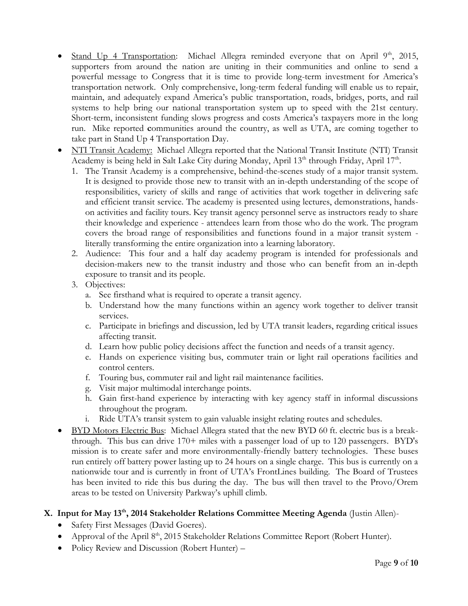- Stand Up 4 Transportation: Michael Allegra reminded everyone that on April  $9<sup>th</sup>$ , 2015, supporters from around the nation are uniting in their communities and online to send a powerful message to Congress that it is time to provide long-term investment for America's transportation network. Only comprehensive, long-term federal funding will enable us to repair, maintain, and adequately expand America's public transportation, roads, bridges, ports, and rail systems to help bring our national transportation system up to speed with the 21st century. Short-term, inconsistent funding slows progress and costs America's taxpayers more in the long run. Mike reported **c**ommunities around the country, as well as UTA, are coming together to take part in Stand Up 4 Transportation Day.
- NTI Transit Academy: Michael Allegra reported that the National Transit Institute (NTI) Transit Academy is being held in Salt Lake City during Monday, April 13<sup>th</sup> through Friday, April 17<sup>th</sup>.
	- 1. The Transit Academy is a comprehensive, behind-the-scenes study of a major transit system. It is designed to provide those new to transit with an in-depth understanding of the scope of responsibilities, variety of skills and range of activities that work together in delivering safe and efficient transit service. The academy is presented using lectures, demonstrations, handson activities and facility tours. Key transit agency personnel serve as instructors ready to share their knowledge and experience - attendees learn from those who do the work. The program covers the broad range of responsibilities and functions found in a major transit system literally transforming the entire organization into a learning laboratory.
	- 2. Audience: This four and a half day academy program is intended for professionals and decision-makers new to the transit industry and those who can benefit from an in-depth exposure to transit and its people.
	- 3. Objectives:
		- a. See firsthand what is required to operate a transit agency.
		- b. Understand how the many functions within an agency work together to deliver transit services.
		- c. Participate in briefings and discussion, led by UTA transit leaders, regarding critical issues affecting transit.
		- d. Learn how public policy decisions affect the function and needs of a transit agency.
		- e. Hands on experience visiting bus, commuter train or light rail operations facilities and control centers.
		- f. Touring bus, commuter rail and light rail maintenance facilities.
		- g. Visit major multimodal interchange points.
		- h. Gain first-hand experience by interacting with key agency staff in informal discussions throughout the program.
		- i. Ride UTA's transit system to gain valuable insight relating routes and schedules.
- BYD Motors Electric Bus: Michael Allegra stated that the new BYD 60 ft. electric bus is a breakthrough. This bus can drive 170+ miles with a passenger load of up to 120 passengers. BYD's mission is to create safer and more environmentally-friendly battery technologies. These buses run entirely off battery power lasting up to 24 hours on a single charge. This bus is currently on a nationwide tour and is currently in front of UTA's FrontLines building. The Board of Trustees has been invited to ride this bus during the day. The bus will then travel to the Provo/Orem areas to be tested on University Parkway's uphill climb.

# **X. Input for May 13th, 2014 Stakeholder Relations Committee Meeting Agenda** (Justin Allen)-

- Safety First Messages (David Goeres).
- Approval of the April 8<sup>th</sup>, 2015 Stakeholder Relations Committee Report (Robert Hunter).
- Policy Review and Discussion (Robert Hunter) –